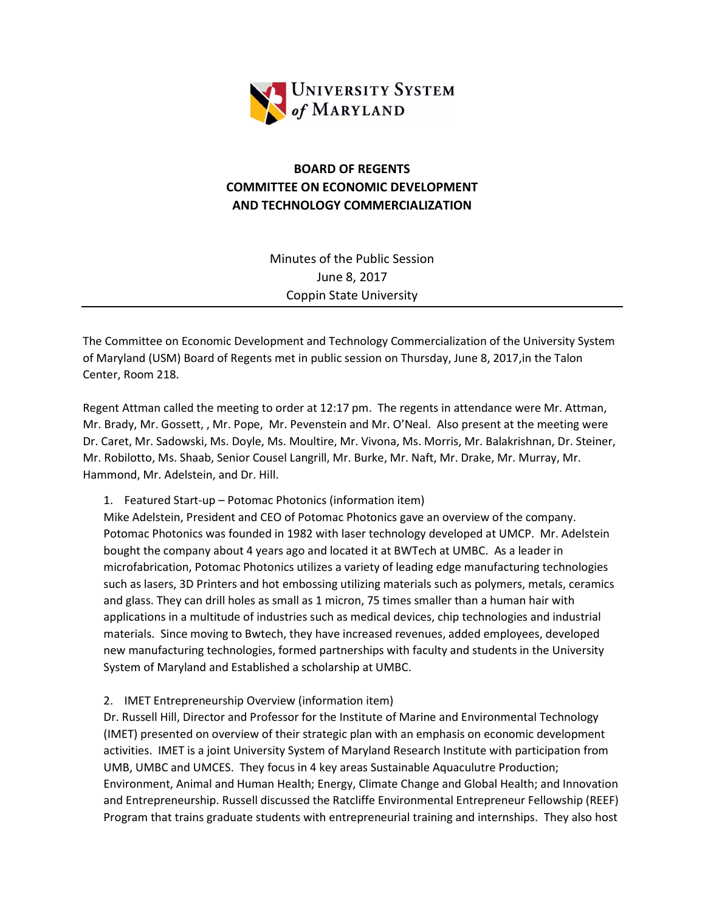

## BOARD OF REGENTS COMMITTEE ON ECONOMIC DEVELOPMENT AND TECHNOLOGY COMMERCIALIZATION

Minutes of the Public Session June 8, 2017 Coppin State University

The Committee on Economic Development and Technology Commercialization of the University System of Maryland (USM) Board of Regents met in public session on Thursday, June 8, 2017,in the Talon Center, Room 218.

Regent Attman called the meeting to order at 12:17 pm. The regents in attendance were Mr. Attman, Mr. Brady, Mr. Gossett, , Mr. Pope, Mr. Pevenstein and Mr. O'Neal. Also present at the meeting were Dr. Caret, Mr. Sadowski, Ms. Doyle, Ms. Moultire, Mr. Vivona, Ms. Morris, Mr. Balakrishnan, Dr. Steiner, Mr. Robilotto, Ms. Shaab, Senior Cousel Langrill, Mr. Burke, Mr. Naft, Mr. Drake, Mr. Murray, Mr. Hammond, Mr. Adelstein, and Dr. Hill.

1. Featured Start-up – Potomac Photonics (information item)

Mike Adelstein, President and CEO of Potomac Photonics gave an overview of the company. Potomac Photonics was founded in 1982 with laser technology developed at UMCP. Mr. Adelstein bought the company about 4 years ago and located it at BWTech at UMBC. As a leader in microfabrication, Potomac Photonics utilizes a variety of leading edge manufacturing technologies such as lasers, 3D Printers and hot embossing utilizing materials such as polymers, metals, ceramics and glass. They can drill holes as small as 1 micron, 75 times smaller than a human hair with applications in a multitude of industries such as medical devices, chip technologies and industrial materials. Since moving to Bwtech, they have increased revenues, added employees, developed new manufacturing technologies, formed partnerships with faculty and students in the University System of Maryland and Established a scholarship at UMBC.

2. IMET Entrepreneurship Overview (information item)

Dr. Russell Hill, Director and Professor for the Institute of Marine and Environmental Technology (IMET) presented on overview of their strategic plan with an emphasis on economic development activities. IMET is a joint University System of Maryland Research Institute with participation from UMB, UMBC and UMCES. They focus in 4 key areas Sustainable Aquaculutre Production; Environment, Animal and Human Health; Energy, Climate Change and Global Health; and Innovation and Entrepreneurship. Russell discussed the Ratcliffe Environmental Entrepreneur Fellowship (REEF) Program that trains graduate students with entrepreneurial training and internships. They also host